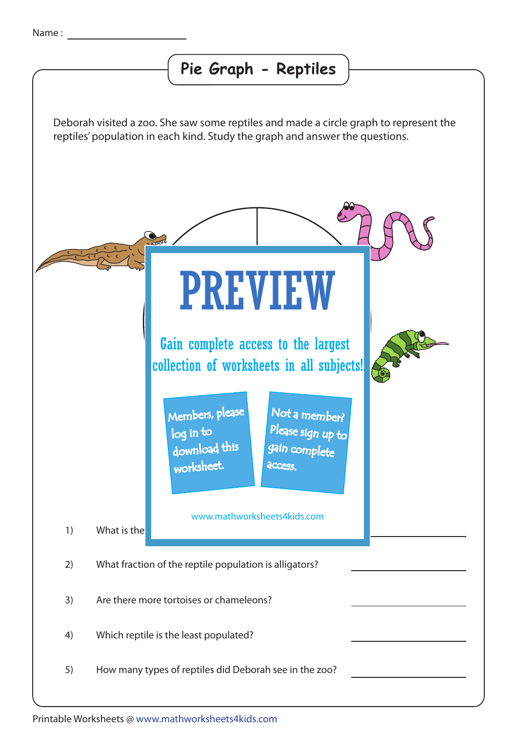